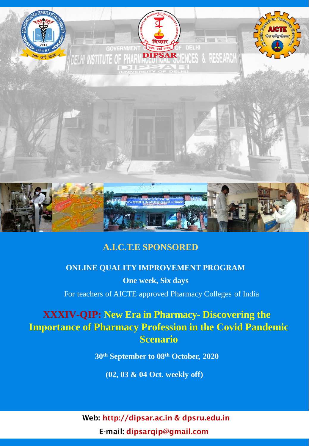

# **A.I.C.T.E SPONSORED**

# **ONLINE QUALITY IMPROVEMENT PROGRAM**

**One week, Six days** For teachers of AICTE approved Pharmacy Colleges of India

# **XXXIV-QIP: New Era in Pharmacy- Discovering the Importance of Pharmacy Profession in the Covid Pandemic Scenario**

**30th September to 08th October, 2020**

**(02, 03 & 04 Oct. weekly off)**

Web: http://dipsar.ac.in & dpsru.edu.in E-mail: dipsarqip@gmail.com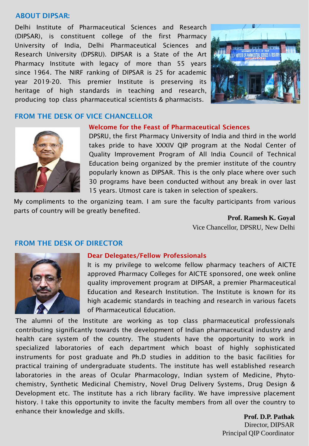#### ABOUT DIPSAR:

Delhi Institute of Pharmaceutical Sciences and Research (DIPSAR), is constituent college of the first Pharmacy University of India, Delhi Pharmaceutical Sciences and Research University (DPSRU). DIPSAR is a State of the Art Pharmacy Institute with legacy of more than 55 years since 1964. The NIRF ranking of DIPSAR is 25 for academic year 2019-20. This premier Institute is preserving its heritage of high standards in teaching and research, producing top class pharmaceutical scientists & pharmacists.



### FROM THE DESK OF VICE CHANCELLOR



#### Welcome for the Feast of Pharmaceutical Sciences

DPSRU, the first Pharmacy University of India and third in the world takes pride to have XXXIV QIP program at the Nodal Center of Quality Improvement Program of All India Council of Technical Education being organized by the premier institute of the country popularly known as DIPSAR. This is the only place where over such 30 programs have been conducted without any break in over last 15 years. Utmost care is taken in selection of speakers.

My compliments to the organizing team. I am sure the faculty participants from various parts of country will be greatly benefited.

> **Prof. Ramesh K. Goyal** Vice Chancellor, DPSRU, New Delhi

#### FROM THE DESK OF DIRECTOR



#### Dear Delegates/Fellow Professionals

It is my privilege to welcome fellow pharmacy teachers of AICTE approved Pharmacy Colleges for AICTE sponsored, one week online quality improvement program at DIPSAR, a premier Pharmaceutical Education and Research Institution. The Institute is known for its high academic standards in teaching and research in various facets of Pharmaceutical Education.

The alumni of the Institute are working as top class pharmaceutical professionals contributing significantly towards the development of Indian pharmaceutical industry and health care system of the country. The students have the opportunity to work in specialized laboratories of each department which boast of highly sophisticated instruments for post graduate and Ph.D studies in addition to the basic facilities for practical training of undergraduate students. The institute has well established research laboratories in the areas of Ocular Pharmacology, Indian system of Medicine, Phytochemistry, Synthetic Medicinal Chemistry, Novel Drug Delivery Systems, Drug Design & Development etc. The institute has a rich library facility. We have impressive placement history. I take this opportunity to invite the faculty members from all over the country to enhance their knowledge and skills.

**Prof. D.P. Pathak**  Director, DIPSAR Principal QIP Coordinator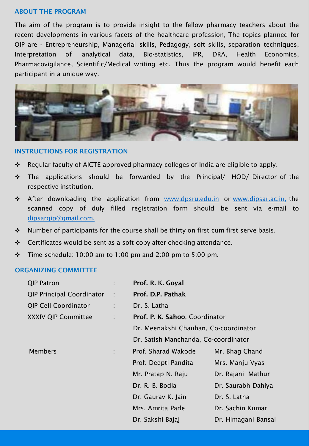#### ABOUT THE PROGRAM

The aim of the program is to provide insight to the fellow pharmacy teachers about the recent developments in various facets of the healthcare profession, The topics planned for QIP are - Entrepreneurship, Managerial skills, Pedagogy, soft skills, separation techniques, Interpretation of analytical data, Bio-statistics, IPR, DRA, Health Economics, Pharmacovigilance, Scientific/Medical writing etc. Thus the program would benefit each participant in a unique way.



#### INSTRUCTIONS FOR REGISTRATION

- Regular faculty of AICTE approved pharmacy colleges of India are eligible to apply.
- \* The applications should be forwarded by the Principal/ HOD/ Director of the respective institution.
- \* After downloading the application from [www.dpsru.edu.in](http://www.dpsru.edu.in/) or [www.dipsar.ac.in,](http://www.dipsar.ac.in/) the scanned copy of duly filled registration form should be sent via e-mail to [dipsarqip@gmail.com.](mailto:dipsarqip@gmail.com)
- $\cdot$  Number of participants for the course shall be thirty on first cum first serve basis.
- $\div$  Certificates would be sent as a soft copy after checking attendance.
- $\div$  Time schedule: 10:00 am to 1:00 pm and 2:00 pm to 5:00 pm.

#### ORGANIZING COMMITTEE

| <b>QIP Patron</b>                |                | Prof. R. K. Goyal                     |                     |
|----------------------------------|----------------|---------------------------------------|---------------------|
| <b>QIP Principal Coordinator</b> | $\mathbb{R}^2$ | Prof. D.P. Pathak                     |                     |
| <b>QIP Cell Coordinator</b>      |                | Dr. S. Latha                          |                     |
| <b>XXXIV QIP Committee</b>       | ÷              | Prof. P. K. Sahoo, Coordinator        |                     |
|                                  |                | Dr. Meenakshi Chauhan, Co-coordinator |                     |
|                                  |                | Dr. Satish Manchanda, Co-coordinator  |                     |
| <b>Members</b>                   |                | Prof. Sharad Wakode                   | Mr. Bhag Chand      |
|                                  |                | Prof. Deepti Pandita                  | Mrs. Manju Vyas     |
|                                  |                | Mr. Pratap N. Raju                    | Dr. Rajani Mathur   |
|                                  |                | Dr. R. B. Bodla                       | Dr. Saurabh Dahiya  |
|                                  |                | Dr. Gaurav K. Jain                    | Dr. S. Latha        |
|                                  |                | Mrs. Amrita Parle                     | Dr. Sachin Kumar    |
|                                  |                | Dr. Sakshi Bajaj                      | Dr. Himagani Bansal |